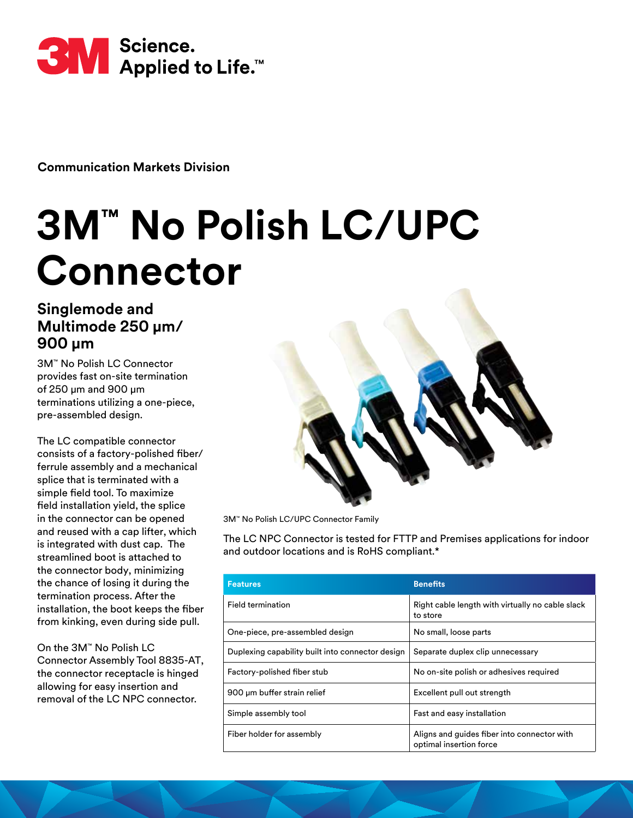

**Communication Markets Division** 

# **3M™ No Polish LC/UPC Connector**

## **Singlemode and Multimode 250 µm/ 900 µm**

3M™ No Polish LC Connector provides fast on-site termination of 250 μm and 900 μm terminations utilizing a one-piece, pre-assembled design.

The LC compatible connector consists of a factory-polished fiber/ ferrule assembly and a mechanical splice that is terminated with a simple field tool. To maximize field installation yield, the splice in the connector can be opened and reused with a cap lifter, which is integrated with dust cap. The streamlined boot is attached to the connector body, minimizing the chance of losing it during the termination process. After the installation, the boot keeps the fiber from kinking, even during side pull.

On the 3M™ No Polish LC Connector Assembly Tool 8835-AT, the connector receptacle is hinged allowing for easy insertion and removal of the LC NPC connector.



3M™ No Polish LC/UPC Connector Family

The LC NPC Connector is tested for FTTP and Premises applications for indoor and outdoor locations and is RoHS compliant.\*

| <b>Features</b>                                  | <b>Benefits</b>                                                        |
|--------------------------------------------------|------------------------------------------------------------------------|
| Field termination                                | Right cable length with virtually no cable slack<br>to store           |
| One-piece, pre-assembled design                  | No small, loose parts                                                  |
| Duplexing capability built into connector design | Separate duplex clip unnecessary                                       |
| Factory-polished fiber stub                      | No on-site polish or adhesives required                                |
| 900 um buffer strain relief                      | Excellent pull out strength                                            |
| Simple assembly tool                             | Fast and easy installation                                             |
| Fiber holder for assembly                        | Aligns and guides fiber into connector with<br>optimal insertion force |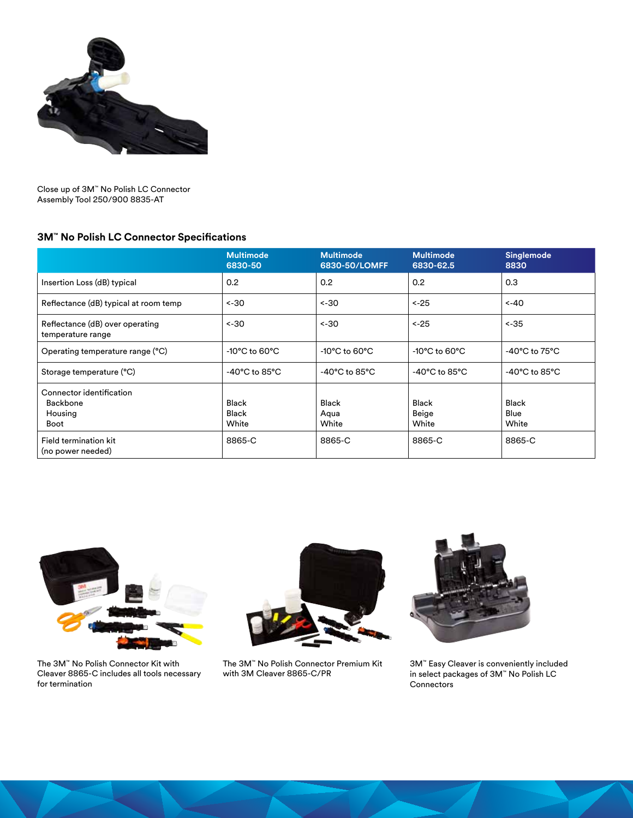

Close up of 3M™ No Polish LC Connector Assembly Tool 250/900 8835-AT

### **3M™ No Polish LC Connector Specifications**

|                                                         | <b>Multimode</b><br>6830-50         | <b>Multimode</b><br>6830-50/LOMFF  | <b>Multimode</b><br>6830-62.5       | Singlemode<br>8830                  |
|---------------------------------------------------------|-------------------------------------|------------------------------------|-------------------------------------|-------------------------------------|
| Insertion Loss (dB) typical                             | 0.2                                 | 0.2                                | 0.2                                 | 0.3                                 |
| Reflectance (dB) typical at room temp                   | $~1 - 30$                           | ~30                                | $< -25$                             | $< -40$                             |
| Reflectance (dB) over operating<br>temperature range    | $< -30$                             | $~1 - 30$                          | $< -25$                             | $< -35$                             |
| Operating temperature range (°C)                        | $-10^{\circ}$ C to 60 $^{\circ}$ C  | $-10^{\circ}$ C to 60 $^{\circ}$ C | $-10^{\circ}$ C to 60 $^{\circ}$ C  | $-40^{\circ}$ C to $75^{\circ}$ C   |
| Storage temperature (°C)                                | -40 $^{\circ}$ C to 85 $^{\circ}$ C | $-40^{\circ}$ C to 85 $^{\circ}$ C | -40 $^{\circ}$ C to 85 $^{\circ}$ C | -40 $^{\circ}$ C to 85 $^{\circ}$ C |
| Connector identification<br>Backbone<br>Housing<br>Boot | <b>Black</b><br>Black<br>White      | <b>Black</b><br>Aqua<br>White      | <b>Black</b><br>Beige<br>White      | <b>Black</b><br>Blue<br>White       |
| Field termination kit<br>(no power needed)              | 8865-C                              | 8865-C                             | 8865-C                              | 8865-C                              |



The 3M™ No Polish Connector Kit with Cleaver 8865-C includes all tools necessary for termination



The 3M™ No Polish Connector Premium Kit with 3M Cleaver 8865-C/PR



3M™ Easy Cleaver is conveniently included in select packages of 3M™ No Polish LC **Connectors**